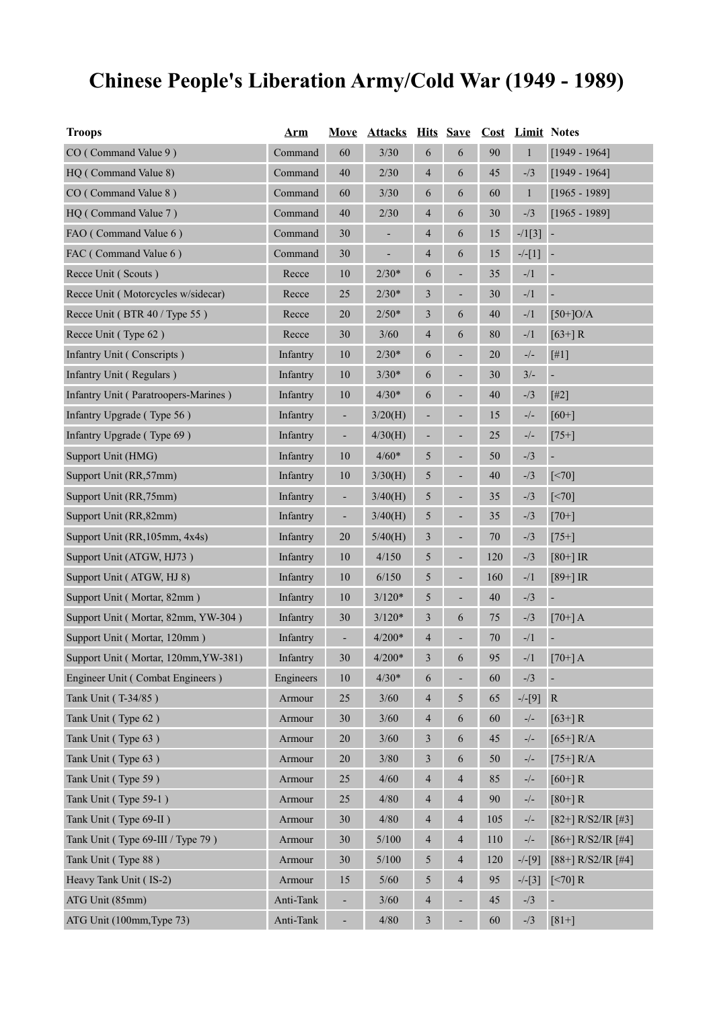# **Chinese People's Liberation Army/Cold War (1949 - 1989)**

| <b>Troops</b>                        | <b>Arm</b> | <b>Move</b>    | <b>Attacks Hits Save Cost Limit Notes</b> |                          |                          |        |                                                                                           |                          |
|--------------------------------------|------------|----------------|-------------------------------------------|--------------------------|--------------------------|--------|-------------------------------------------------------------------------------------------|--------------------------|
| CO (Command Value 9)                 | Command    | 60             | 3/30                                      | 6                        | 6                        | 90     | $\mathbf{1}$                                                                              | $[1949 - 1964]$          |
| HQ (Command Value 8)                 | Command    | 40             | 2/30                                      | 4                        | 6                        | 45     | $-1/3$                                                                                    | $[1949 - 1964]$          |
| CO (Command Value 8)                 | Command    | 60             | 3/30                                      | 6                        | 6                        | 60     | $\mathbf{1}$                                                                              | $[1965 - 1989]$          |
| HQ (Command Value 7)                 | Command    | 40             | 2/30                                      | 4                        | 6                        | 30     | $-1/3$                                                                                    | $[1965 - 1989]$          |
| FAO (Command Value 6)                | Command    | 30             |                                           | 4                        | 6                        | 15     | $-1[3]$                                                                                   |                          |
| FAC (Command Value 6)                | Command    | $30\,$         |                                           | 4                        | 6                        | 15     | $-/-[1]$                                                                                  |                          |
| Recce Unit (Scouts)                  | Recce      | 10             | $2/30*$                                   | 6                        | ÷                        | 35     | $\frac{1}{2}$                                                                             | $\overline{\phantom{a}}$ |
| Recce Unit (Motorcycles w/sidecar)   | Recce      | 25             | $2/30*$                                   | 3                        | ÷                        | 30     | $\frac{-}{1}$                                                                             | $\overline{\phantom{a}}$ |
| Recce Unit (BTR 40 / Type 55)        | Recce      | $20\,$         | $2/50*$                                   | 3                        | 6                        | 40     | $-1/1$                                                                                    | $[50+]O/A$               |
| Recce Unit (Type 62)                 | Recce      | 30             | $3/60$                                    | $\overline{\mathcal{A}}$ | 6                        | 80     | $-1/1$                                                                                    | $[63+] R$                |
| Infantry Unit (Conscripts)           | Infantry   | $10\,$         | $2/30*$                                   | 6                        | ÷                        | 20     | $\mathord{\hspace{1pt}\text{--}\hspace{1pt}}/\mathord{\hspace{1pt}\text{--}\hspace{1pt}}$ | [#1]                     |
| Infantry Unit (Regulars)             | Infantry   | 10             | $3/30*$                                   | 6                        | ٠                        | 30     | $3/-$                                                                                     |                          |
| Infantry Unit (Paratroopers-Marines) | Infantry   | 10             | $4/30*$                                   | 6                        | -                        | 40     | $-1/3$                                                                                    | $[#2]$                   |
| Infantry Upgrade (Type 56)           | Infantry   | ÷,             | 3/20(H)                                   | ٠                        |                          | 15     | $-/-$                                                                                     | $[60+]$                  |
| Infantry Upgrade (Type 69)           | Infantry   | ٠              | 4/30(H)                                   | ۰                        | ٠                        | 25     | $-/-$                                                                                     | $[75+]$                  |
| Support Unit (HMG)                   | Infantry   | $10\,$         | $4/60*$                                   | $\sqrt{5}$               | ÷                        | 50     | $-1/3$                                                                                    |                          |
| Support Unit (RR,57mm)               | Infantry   | $10\,$         | 3/30(H)                                   | 5                        |                          | $40\,$ | $-1/3$                                                                                    | $\lceil$ <70]            |
| Support Unit (RR,75mm)               | Infantry   | ÷,             | 3/40(H)                                   | 5                        | ٠                        | 35     | $-1/3$                                                                                    | $\lceil$ <70]            |
| Support Unit (RR, 82mm)              | Infantry   | $\blacksquare$ | 3/40(H)                                   | 5                        | $\overline{\phantom{0}}$ | 35     | $-1/3$                                                                                    | $[70+]$                  |
| Support Unit (RR, 105mm, 4x4s)       | Infantry   | $20\,$         | 5/40(H)                                   | $\mathfrak{Z}$           | ٠                        | 70     | $-1/3$                                                                                    | $[75+]$                  |
| Support Unit (ATGW, HJ73)            | Infantry   | 10             | 4/150                                     | $\sqrt{5}$               | $\overline{\phantom{0}}$ | 120    | $-1/3$                                                                                    | $[80+]$ IR               |
| Support Unit (ATGW, HJ 8)            | Infantry   | $10\,$         | 6/150                                     | $\sqrt{5}$               | ÷                        | 160    | $-1/1$                                                                                    | $[89+]$ IR               |
| Support Unit (Mortar, 82mm)          | Infantry   | $10\,$         | $3/120*$                                  | $\sqrt{5}$               | ٠                        | $40\,$ | $-1/3$                                                                                    | ÷                        |
| Support Unit (Mortar, 82mm, YW-304)  | Infantry   | $30\,$         | $3/120*$                                  | 3                        | 6                        | 75     | $-1/3$                                                                                    | $[70+]$ A                |
| Support Unit (Mortar, 120mm)         | Infantry   | ÷              | $4/200*$                                  | $\overline{\mathcal{A}}$ |                          | 70     | $-1/1$                                                                                    |                          |
| Support Unit (Mortar, 120mm, YW-381) | Infantry   | 30             | $4/200*$                                  | 3                        | 6                        | 95     | $-1/1$                                                                                    | $[70+]$ A                |
| Engineer Unit (Combat Engineers)     | Engineers  | $10\,$         | $4/30*$                                   | 6                        | ÷                        | 60     | $- / 3$                                                                                   |                          |
| Tank Unit (T-34/85)                  | Armour     | $25\,$         | $3/60$                                    | $\overline{\mathcal{A}}$ | 5                        | 65     | $-/-[9]$                                                                                  | ${\bf R}$                |
| Tank Unit (Type 62)                  | Armour     | $30\,$         | $3/60$                                    | $\overline{\mathcal{A}}$ | 6                        | 60     | $\frac{\ }{2}$ / $\frac{1}{2}$                                                            | $[63+] R$                |
| Tank Unit (Type 63)                  | Armour     | $20\,$         | $3/60$                                    | 3                        | 6                        | 45     | $-/-$                                                                                     | $[65+] R/A$              |
| Tank Unit (Type 63)                  | Armour     | $20\,$         | $3/80$                                    | $\mathfrak{Z}$           | 6                        | 50     | $-/-$                                                                                     | $[75+] R/A$              |
| Tank Unit (Type 59)                  | Armour     | $25\,$         | 4/60                                      | $\overline{\mathcal{A}}$ | $\overline{4}$           | 85     | $-/-$                                                                                     | $[60+]R$                 |
| Tank Unit (Type 59-1)                | Armour     | $25\,$         | 4/80                                      | 4                        | $\overline{4}$           | 90     | $-/-$                                                                                     | $[80+]R$                 |
| Tank Unit (Type 69-II)               | Armour     | $30\,$         | 4/80                                      | 4                        | 4                        | 105    | $-/-$                                                                                     | $[82+]$ R/S2/IR $[#3]$   |
| Tank Unit (Type 69-III / Type 79)    | Armour     | 30             | 5/100                                     | $\overline{\mathcal{A}}$ | 4                        | 110    | $\mathord{\hspace{1pt}\text{--}\hspace{1pt}}/\mathord{\hspace{1pt}\text{--}\hspace{1pt}}$ | $[86+]$ R/S2/IR $[#4]$   |
| Tank Unit (Type 88)                  | Armour     | 30             | 5/100                                     | 5                        | $\overline{4}$           | 120    | $-/-[9]$                                                                                  | $[88+]$ R/S2/IR $[#4]$   |
| Heavy Tank Unit (IS-2)               | Armour     | 15             | $5/60$                                    | 5                        | 4                        | 95     | $-/-[3]$                                                                                  | $\left[ < 70 \right]$ R  |
| ATG Unit (85mm)                      | Anti-Tank  |                | $3/60$                                    | $\overline{\mathcal{L}}$ |                          | 45     | $-1/3$                                                                                    |                          |
| ATG Unit (100mm, Type 73)            | Anti-Tank  |                | 4/80                                      | $\mathfrak{Z}$           |                          | 60     | $- / 3$                                                                                   | $[81+]$                  |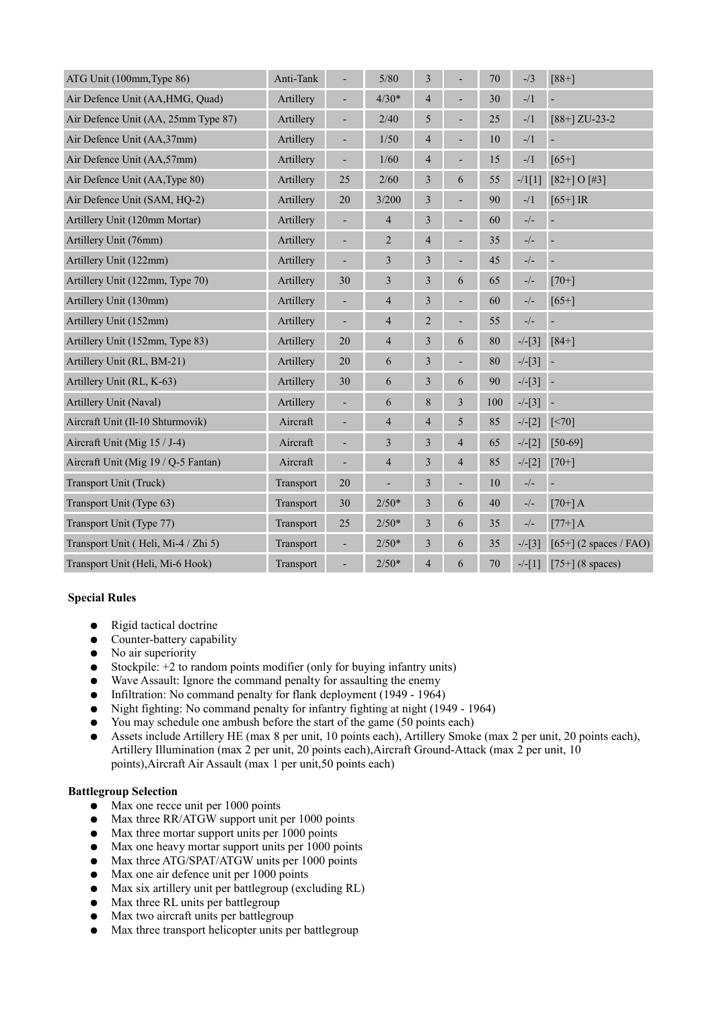| ATG Unit (100mm, Type 86)           | Anti-Tank |        | $5/80$                   | $\mathfrak{Z}$ |                          | 70     | $-1/3$                                                                                    | $[88+]$                  |
|-------------------------------------|-----------|--------|--------------------------|----------------|--------------------------|--------|-------------------------------------------------------------------------------------------|--------------------------|
| Air Defence Unit (AA, HMG, Quad)    | Artillery | ÷,     | $4/30*$                  | $\overline{4}$ | L,                       | 30     | $-1/1$                                                                                    |                          |
| Air Defence Unit (AA, 25mm Type 87) | Artillery | ÷      | 2/40                     | 5              | ÷                        | 25     | $-1/1$                                                                                    | $[88+]$ ZU-23-2          |
| Air Defence Unit (AA,37mm)          | Artillery | ÷,     | $1/50$                   | $\overline{4}$ | ÷                        | 10     | $\frac{1}{2}$                                                                             | ÷                        |
| Air Defence Unit (AA,57mm)          | Artillery | ÷      | $1/60$                   | $\overline{4}$ | ÷                        | 15     | $\frac{1}{2}$                                                                             | $[65+]$                  |
| Air Defence Unit (AA, Type 80)      | Artillery | 25     | 2/60                     | $\mathfrak{Z}$ | 6                        | 55     | $-1[1]$                                                                                   | $[82+]$ O $[#3]$         |
| Air Defence Unit (SAM, HQ-2)        | Artillery | 20     | 3/200                    | $\mathfrak{Z}$ | ÷                        | 90     | $\frac{1}{2}$                                                                             | $[65+]$ IR               |
| Artillery Unit (120mm Mortar)       | Artillery |        | $\overline{4}$           | $\mathfrak{Z}$ | ÷,                       | 60     | $\mathord{\hspace{1pt}\text{--}\hspace{1pt}}/\mathord{\hspace{1pt}\text{--}\hspace{1pt}}$ | ÷                        |
| Artillery Unit (76mm)               | Artillery |        | $\overline{2}$           | $\overline{4}$ | ÷                        | 35     | $\mathord{\hspace{1pt}\text{--}\hspace{1pt}}/\mathord{\hspace{1pt}\text{--}\hspace{1pt}}$ | ÷                        |
| Artillery Unit (122mm)              | Artillery | ÷      | $\mathfrak{Z}$           | $\mathfrak{Z}$ | L,                       | 45     | $\mathord{\hspace{1pt}\text{--}\hspace{1pt}}/\mathord{\hspace{1pt}\text{--}\hspace{1pt}}$ | ÷,                       |
| Artillery Unit (122mm, Type 70)     | Artillery | 30     | $\mathfrak{Z}$           | $\mathfrak{Z}$ | 6                        | 65     | $-/-$                                                                                     | $[70+]$                  |
| Artillery Unit (130mm)              | Artillery | ÷      | $\overline{\mathcal{A}}$ | $\mathfrak{Z}$ | L,                       | 60     | $-/-$                                                                                     | $[65+]$                  |
| Artillery Unit (152mm)              | Artillery | ÷      | $\overline{\mathcal{A}}$ | $\overline{2}$ | ÷                        | 55     | $-/-$                                                                                     | ÷                        |
| Artillery Unit (152mm, Type 83)     | Artillery | 20     | $\overline{\mathcal{A}}$ | $\mathfrak{Z}$ | 6                        | 80     | $-/-[3]$                                                                                  | $[84+]$                  |
| Artillery Unit (RL, BM-21)          | Artillery | 20     | 6                        | $\mathfrak{Z}$ | $\overline{\phantom{0}}$ | $80\,$ | $-/-[3]$                                                                                  | $\overline{\phantom{a}}$ |
| Artillery Unit (RL, K-63)           | Artillery | 30     | 6                        | 3              | 6                        | 90     | $-/-[3]$                                                                                  | $\overline{\phantom{a}}$ |
| Artillery Unit (Naval)              | Artillery |        | 6                        | $\,8\,$        | 3                        | 100    | $-/-[3]$                                                                                  | $\overline{\phantom{a}}$ |
| Aircraft Unit (Il-10 Shturmovik)    | Aircraft  | ÷,     | $\overline{4}$           | $\overline{4}$ | 5                        | 85     | $-/-[2]$                                                                                  | $\left[\leq 70\right]$   |
| Aircraft Unit (Mig 15 / J-4)        | Aircraft  |        | 3                        | 3              | $\overline{4}$           | 65     | $-/-[2]$                                                                                  | $[50-69]$                |
| Aircraft Unit (Mig 19 / Q-5 Fantan) | Aircraft  | L,     | $\overline{4}$           | 3              | $\overline{4}$           | 85     | $-/-[2]$                                                                                  | $[70+]$                  |
| Transport Unit (Truck)              | Transport | $20\,$ | L,                       | 3              | ÷                        | 10     | $\mathord{\hspace{1pt}\text{--}\hspace{1pt}}/\mathord{\hspace{1pt}\text{--}\hspace{1pt}}$ |                          |
| Transport Unit (Type 63)            | Transport | 30     | $2/50*$                  | 3              | 6                        | 40     | $-/-$                                                                                     | $[70+]$ A                |
| Transport Unit (Type 77)            | Transport | 25     | $2/50*$                  | $\mathfrak{Z}$ | 6                        | 35     | $-/-$                                                                                     | $[77+]$ A                |
| Transport Unit (Heli, Mi-4 / Zhi 5) | Transport | ÷      | $2/50*$                  | $\mathfrak{Z}$ | 6                        | 35     | $-/-[3]$                                                                                  | $[65+]$ (2 spaces / FAO) |
| Transport Unit (Heli, Mi-6 Hook)    | Transport |        | $2/50*$                  | $\overline{4}$ | 6                        | 70     | $-/-[1]$                                                                                  | $[75+]$ (8 spaces)       |

#### **Special Rules**

- Rigid tactical doctrine
- Counter-battery capability
- No air superiority
- Stockpile:  $+2$  to random points modifier (only for buying infantry units)
- Wave Assault: Ignore the command penalty for assaulting the enemy
- Infiltration: No command penalty for flank deployment (1949 1964)
- Night fighting: No command penalty for infantry fighting at night (1949 1964)
- You may schedule one ambush before the start of the game (50 points each)
- Assets include Artillery HE (max 8 per unit, 10 points each), Artillery Smoke (max 2 per unit, 20 points each), Artillery Illumination (max 2 per unit, 20 points each),Aircraft Ground-Attack (max 2 per unit, 10 points),Aircraft Air Assault (max 1 per unit,50 points each)

#### **Battlegroup Selection**

- $\bullet$  Max one recce unit per 1000 points
- Max three RR/ATGW support unit per 1000 points
- Max three mortar support units per 1000 points<br>● Max one heavy mortar support units per 1000 p
- Max one heavy mortar support units per 1000 points
- Max three ATG/SPAT/ATGW units per 1000 points
- Max one air defence unit per 1000 points
- Max six artillery unit per battlegroup (excluding RL)
- Max three RL units per battlegroup
- Max two aircraft units per battlegroup
- Max three transport helicopter units per battlegroup